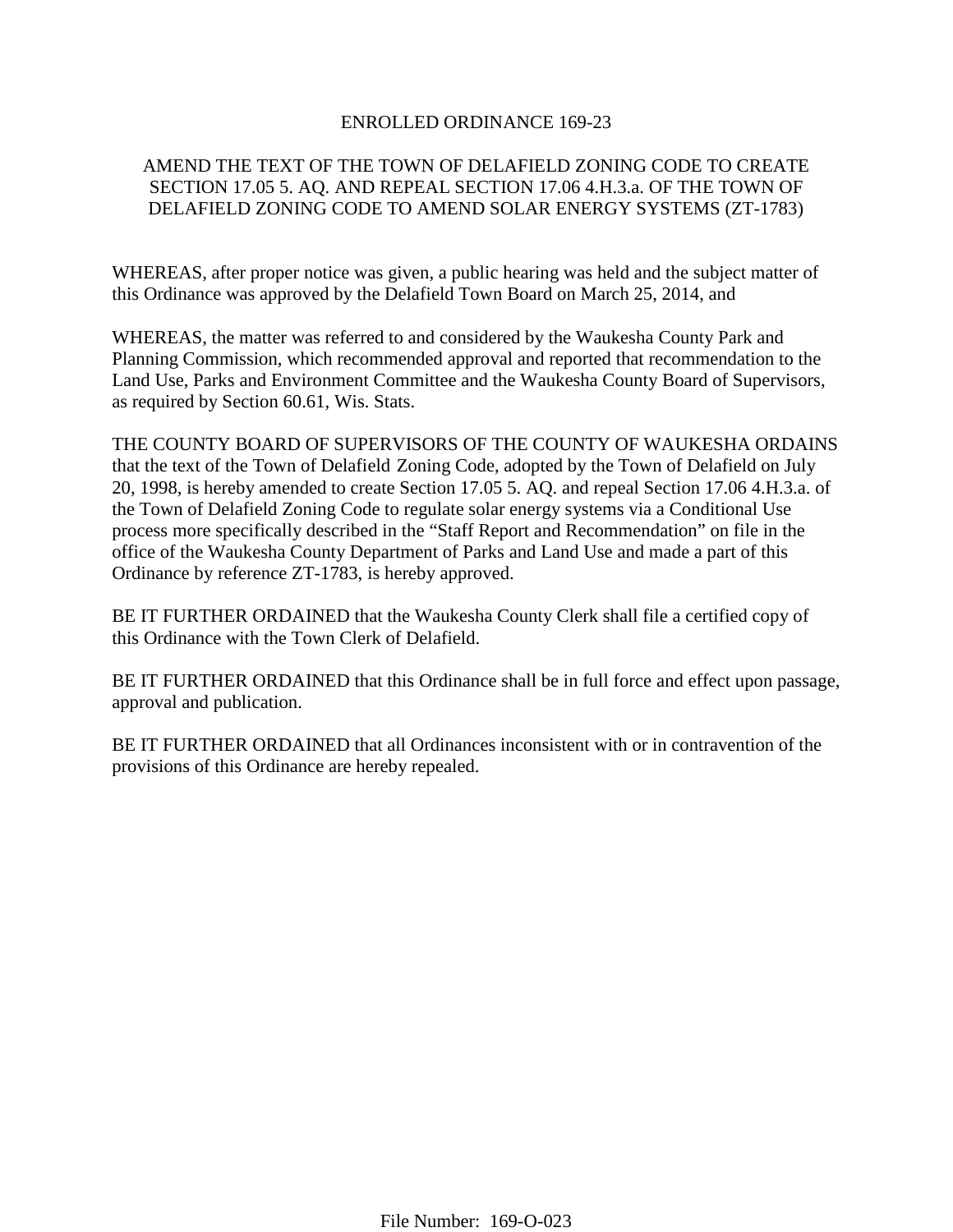# ENROLLED ORDINANCE 169-23

# AMEND THE TEXT OF THE TOWN OF DELAFIELD ZONING CODE TO CREATE SECTION 17.05 5. AQ. AND REPEAL SECTION 17.06 4.H.3.a. OF THE TOWN OF DELAFIELD ZONING CODE TO AMEND SOLAR ENERGY SYSTEMS (ZT-1783)

WHEREAS, after proper notice was given, a public hearing was held and the subject matter of this Ordinance was approved by the Delafield Town Board on March 25, 2014, and

WHEREAS, the matter was referred to and considered by the Waukesha County Park and Planning Commission, which recommended approval and reported that recommendation to the Land Use, Parks and Environment Committee and the Waukesha County Board of Supervisors, as required by Section 60.61, Wis. Stats.

THE COUNTY BOARD OF SUPERVISORS OF THE COUNTY OF WAUKESHA ORDAINS that the text of the Town of Delafield Zoning Code, adopted by the Town of Delafield on July 20, 1998, is hereby amended to create Section 17.05 5. AQ. and repeal Section 17.06 4.H.3.a. of the Town of Delafield Zoning Code to regulate solar energy systems via a Conditional Use process more specifically described in the "Staff Report and Recommendation" on file in the office of the Waukesha County Department of Parks and Land Use and made a part of this Ordinance by reference ZT-1783, is hereby approved.

BE IT FURTHER ORDAINED that the Waukesha County Clerk shall file a certified copy of this Ordinance with the Town Clerk of Delafield.

BE IT FURTHER ORDAINED that this Ordinance shall be in full force and effect upon passage, approval and publication.

BE IT FURTHER ORDAINED that all Ordinances inconsistent with or in contravention of the provisions of this Ordinance are hereby repealed.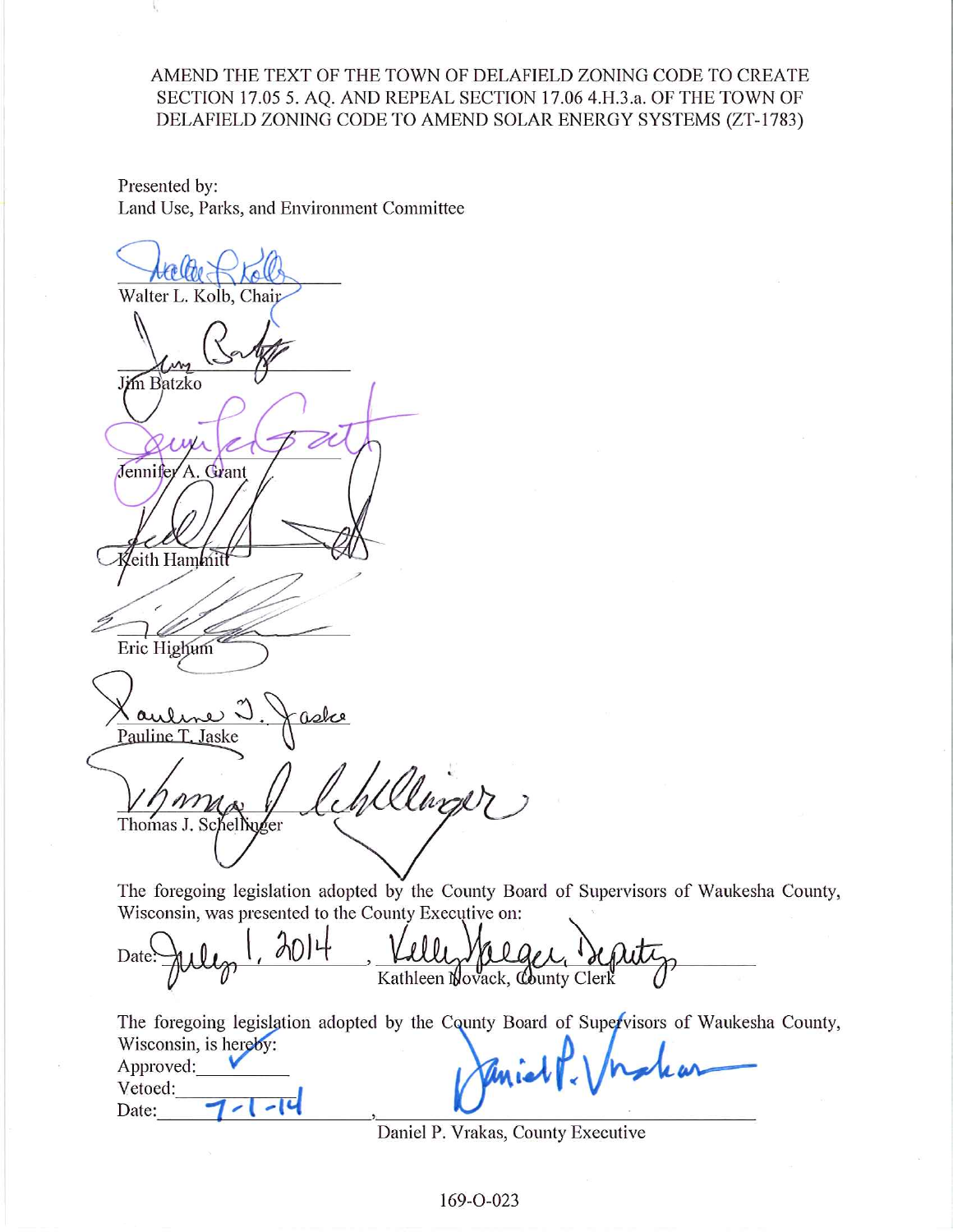# AMEND THE TEXT OF THE TOWN OF DELAFIELD ZONING CODE TO CREATE SECTION 17.05 5. AO. AND REPEAL SECTION 17.06 4.H.3.a. OF THE TOWN OF DELAFIELD ZONING CODE TO AMEND SOLAR ENERGY SYSTEMS (ZT-1783)

Presented by: Land Use, Parks, and Environment Committee

Walter L. Kolb, Chair **Jim Batzko** Jennifer A. Grant eith Hammit J) Eric Highum <u>(auline</u> Pauline T. Jaske Wellinger Thomas J. Schellinger

The foregoing legislation adopted by the County Board of Supervisors of Waukesha County, Wisconsin, was presented to the County Executive on:

9014 Date Kathleen Novack, County Clerk

The foregoing legislation adopted by the County Board of Supervisors of Waukesha County, Wisconsin, is hereby: Approved: Vetoed:  $\overline{\phantom{a}}$ Date:

Daniel P. Vrakas, County Executive

169-O-023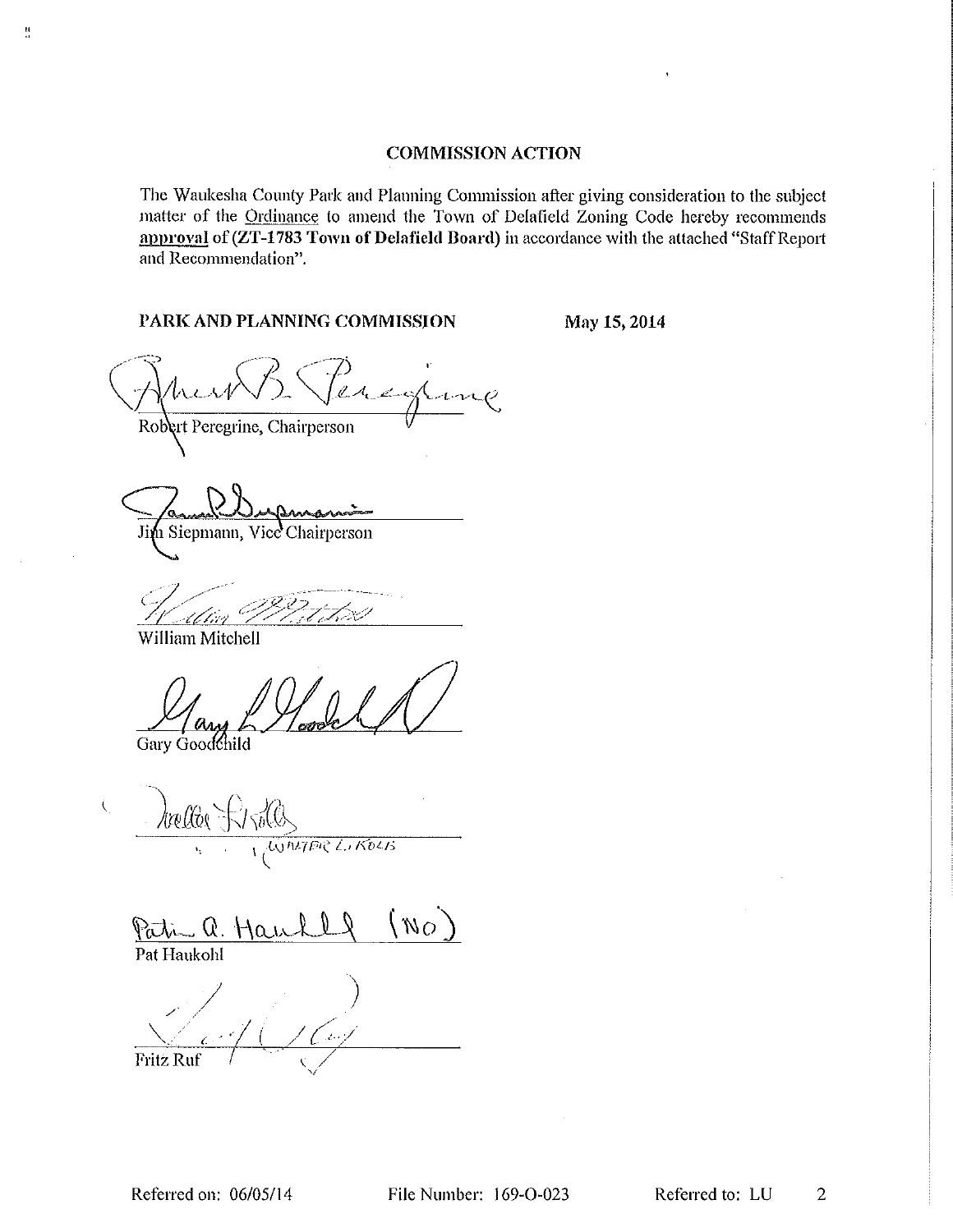# **COMMISSION ACTION**

The Waukesha County Park and Planning Commission after giving consideration to the subject matter of the Ordinance to amend the Town of Delafield Zoning Code hereby recommends approval of (ZT-1783 Town of Delafield Board) in accordance with the attached "Staff Report and Recommendation".

File Number: 169-O-023

# PARK AND PLANNING COMMISSION

May 15, 2014

ang Robert Peregrine, Chairperson

Jim Siepmann, Vice Chairperson

Al tivl

William Mitchell

 $\frac{\mathbf{H}}{\mathbf{H}}$ 

Gary Goodchild

hallo WALTER LIKOLB

 $\alpha N$ Patin  $Q$ .

Pat Haukohl

 $\zeta$ 

**Fritz Ruf** 

 $\overline{2}$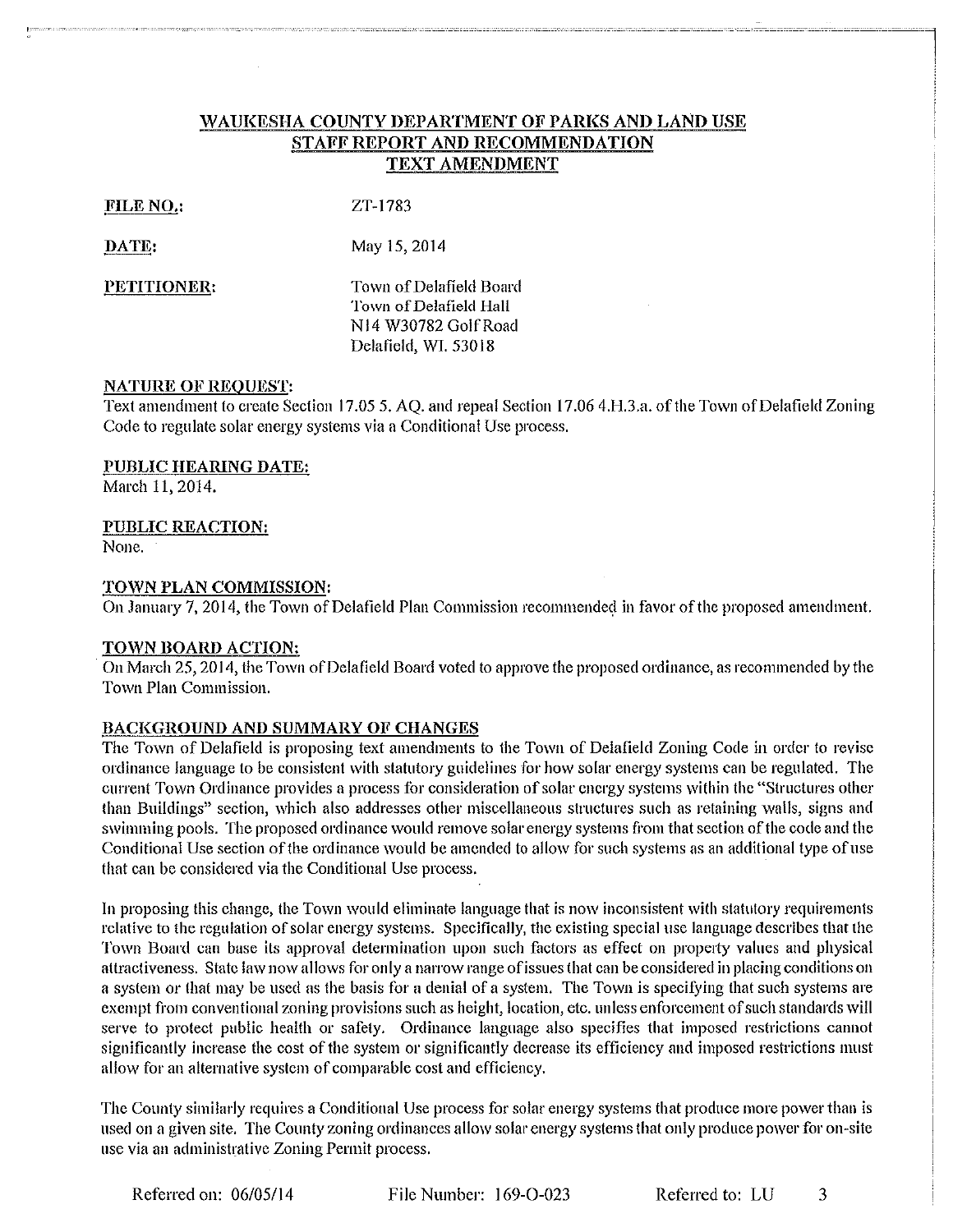# WAUKESHA COUNTY DEPARTMENT OF PARKS AND LAND USE STAFF REPORT AND RECOMMENDATION TEXT AMENDMENT

#### FILE NO.:

ZT-1783

#### DATE:

May 15, 2014

PETITIONER:

Town of Delafield Board Town of Delafield Hall N14 W30782 Golf Road Delafield, WI, 53018

#### **NATURE OF REQUEST:**

Text amendment to create Section 17.05 5, AQ, and repeal Section 17.06 4.H.3.a. of the Town of Delafield Zoning Code to regulate solar energy systems via a Conditional Use process.

#### PUBLIC HEARING DATE:

March 11, 2014.

#### **PUBLIC REACTION:**

None.

#### TOWN PLAN COMMISSION:

On January 7, 2014, the Town of Delafield Plan Commission recommended in favor of the proposed amendment.

#### **TOWN BOARD ACTION:**

On March 25, 2014, the Town of Delafield Board voted to approve the proposed ordinance, as recommended by the Town Plan Commission.

#### BACKGROUND AND SUMMARY OF CHANGES

The Town of Delafield is proposing text amendments to the Town of Delafield Zoning Code in order to revise ordinance language to be consistent with statutory guidelines for how solar energy systems can be regulated. The current Town Ordinance provides a process for consideration of solar energy systems within the "Structures other than Buildings" section, which also addresses other miscellaneous structures such as retaining walls, signs and swimming pools. The proposed ordinance would remove solar energy systems from that section of the code and the Conditional Use section of the ordinance would be amended to allow for such systems as an additional type of use that can be considered via the Conditional Use process.

In proposing this change, the Town would eliminate language that is now inconsistent with statutory requirements relative to the regulation of solar energy systems. Specifically, the existing special use language describes that the Town Board can base its approval determination upon such factors as effect on property values and physical attractiveness. State law now allows for only a narrow range of issues that can be considered in placing conditions on a system or that may be used as the basis for a denial of a system. The Town is specifying that such systems are exempt from conventional zoning provisions such as height, location, etc. unless enforcement of such standards will serve to protect public health or safety. Ordinance language also specifies that imposed restrictions cannot significantly increase the cost of the system or significantly decrease its efficiency and imposed restrictions must allow for an alternative system of comparable cost and efficiency.

The County similarly requires a Conditional Use process for solar energy systems that produce more power than is used on a given site. The County zoning ordinances allow solar energy systems that only produce power for on-site use via an administrative Zoning Permit process.

File Number: 169-O-023

Referred to: LU 3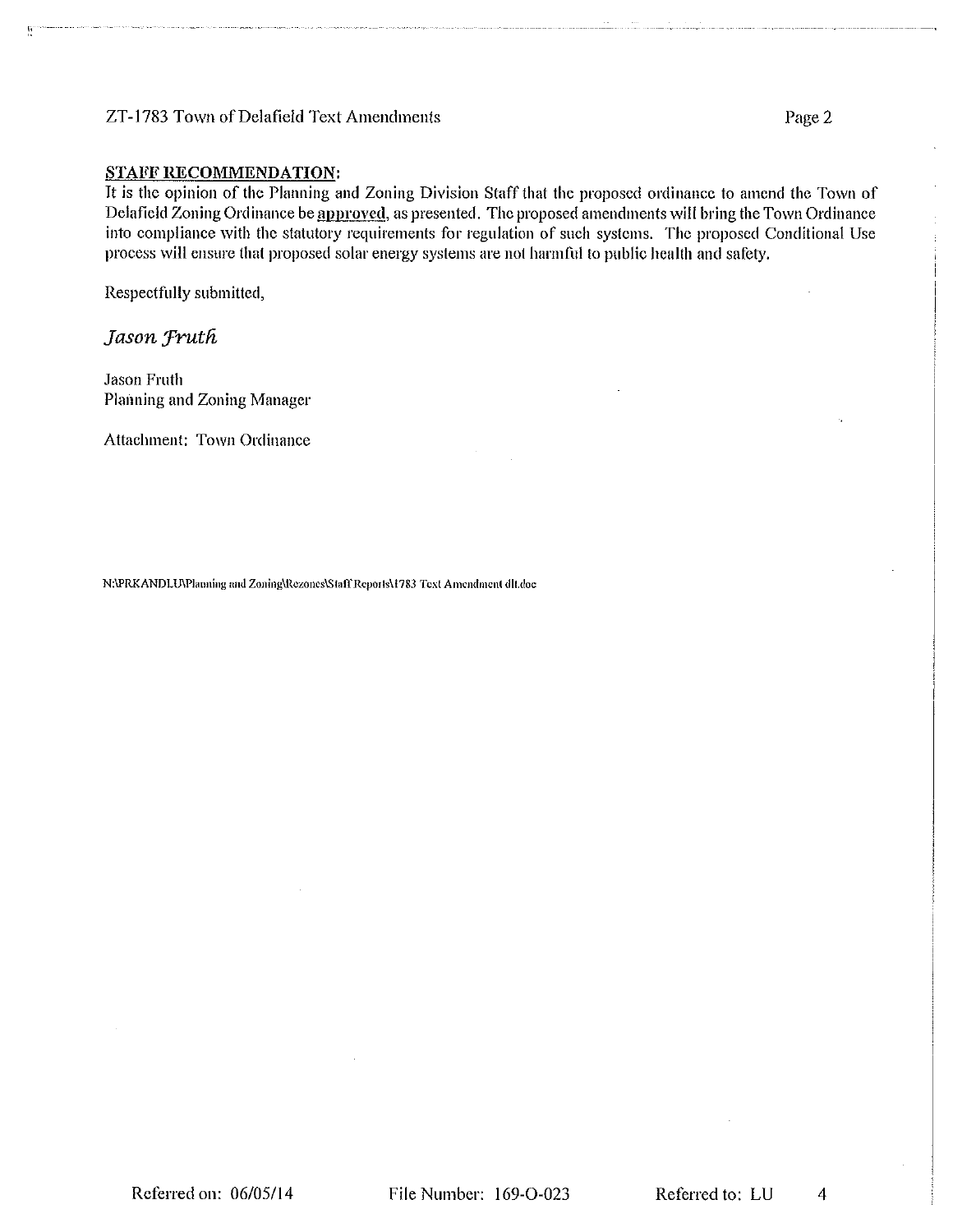#### ZT-1783 Town of Delafield Text Amendments

#### **STAFF RECOMMENDATION:**

It is the opinion of the Planning and Zoning Division Staff that the proposed ordinance to amend the Town of Delafield Zoning Ordinance be approved, as presented. The proposed amendments will bring the Town Ordinance into compliance with the statutory requirements for regulation of such systems. The proposed Conditional Use process will ensure that proposed solar energy systems are not harmful to public health and safety.

Respectfully submitted,

# Jason Fruth

**Jason Fruth** Planning and Zoning Manager

Attachment: Town Ordinance

N:\PRKANDLU\Planning and Zoning\Rezones\Staff`Reports\1783 Text Amendment dlt.doc

4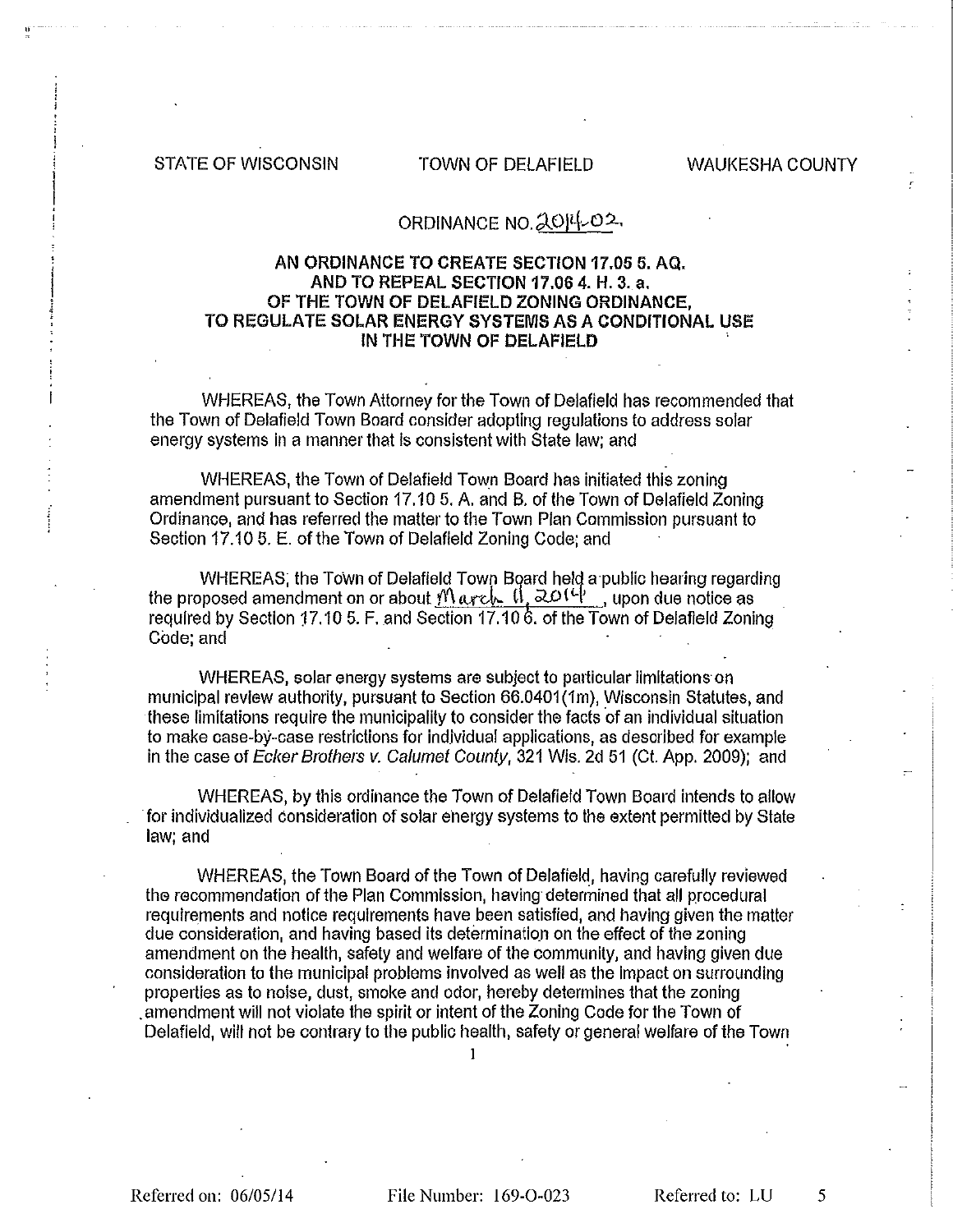**STATE OF WISCONSIN** 

# TOWN OF DELAFIELD

**WAUKESHA COUNTY** 

# ORDINANCE NO. 2014-02

# AN ORDINANCE TO CREATE SECTION 17.05 5, AQ. AND TO REPEAL SECTION 17.06 4. H. 3. a. OF THE TOWN OF DELAFIELD ZONING ORDINANCE. TO REGULATE SOLAR ENERGY SYSTEMS AS A CONDITIONAL USE IN THE TOWN OF DELAFIELD

WHEREAS, the Town Attorney for the Town of Delafield has recommended that the Town of Delafield Town Board consider adopting regulations to address solar energy systems in a manner that is consistent with State law; and

WHEREAS, the Town of Delafield Town Board has initiated this zoning amendment pursuant to Section 17.10 5. A, and B, of the Town of Delafield Zoning Ordinance, and has referred the matter to the Town Plan Commission pursuant to Section 17.10 5. E. of the Town of Delafield Zoning Code; and

WHEREAS; the Town of Delafield Town Board held a public hearing regarding the proposed amendment on or about  $M$  arch  $\left| \frac{1}{20} \right|$ , upon due notice as required by Section 17.10 5. F, and Section 17.10 6, of the Town of Delafield Zoning Code: and

WHEREAS, solar energy systems are subject to particular limitations on municipal review authority, pursuant to Section 66.0401(1m), Wisconsin Statutes, and these limitations require the municipality to consider the facts of an individual situation to make case-by-case restrictions for individual applications, as described for example in the case of Ecker Brothers v. Calumet County, 321 Wis. 2d 51 (Ct. App. 2009); and

WHEREAS, by this ordinance the Town of Delafield Town Board intends to allow for individualized consideration of solar energy systems to the extent permitted by State law: and

WHEREAS, the Town Board of the Town of Delafield, having carefully reviewed the recommendation of the Plan Commission, having determined that all procedural requirements and notice requirements have been satisfied, and having given the matter due consideration, and having based its determination on the effect of the zoning amendment on the health, safety and welfare of the community, and having given due consideration to the municipal problems involved as well as the impact on surrounding properties as to noise, dust, smoke and odor, hereby determines that the zoning amendment will not violate the spirit or intent of the Zoning Code for the Town of Delafield, will not be contrary to the public health, safety or general welfare of the Town

1

Referred on: 06/05/14

File Number: 169-0-023

Referred to: LU

5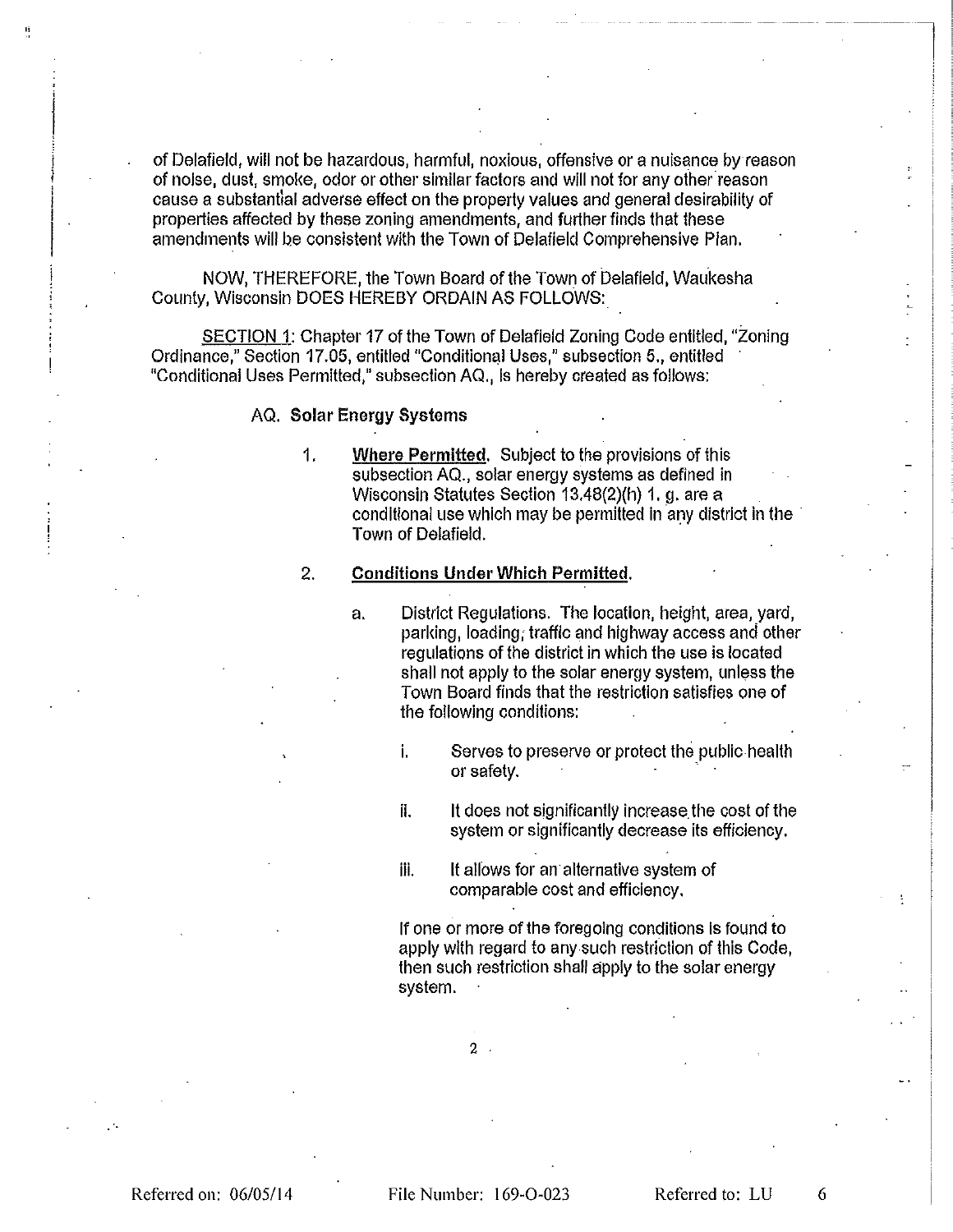of Delafield, will not be hazardous, harmful, noxious, offensive or a nuisance by reason of noise, dust, smoke, odor or other similar factors and will not for any other reason cause a substantial adverse effect on the property values and general desirability of properties affected by these zoning amendments, and further finds that these amendments will be consistent with the Town of Delatield Comprehensive Plan.

NOW, THEREFORE, the Town Board of the Town of Delafield, Waukesha County, Wisconsin DOES HEREBY ORDAIN AS FOLLOWS:

SECTION 1: Chapter 17 of the Town of Delafield Zoning Code entitled, "Zoning Ordinance," Section 17.05, entitled "Conditional Uses," subsection 5., entitled "Conditional Uses Permitted," subsection AQ., is hereby created as follows:

#### AQ. Solar Energy Systems

Where Permitted. Subject to the provisions of this 1. subsection AQ., solar energy systems as defined in Wisconsin Statutes Section 13.48(2)(h) 1. g. are a conditional use which may be permitted in any district in the Town of Delafield.

#### $2.$ **Conditions Under Which Permitted.**

- District Regulations. The location, height, area, yard,  $a<sub>1</sub>$ parking, loading, traffic and highway access and other regulations of the district in which the use is located shall not apply to the solar energy system, unless the Town Board finds that the restriction satisfies one of the following conditions:
	- Serves to preserve or protect the public health i. or safety.
	- il. It does not significantly increase the cost of the system or significantly decrease its efficiency.
	- iii. It allows for an alternative system of comparable cost and efficiency.

If one or more of the foregoing conditions is found to apply with regard to any such restriction of this Code, then such restriction shall apply to the solar energy system.

Referred to: LU

6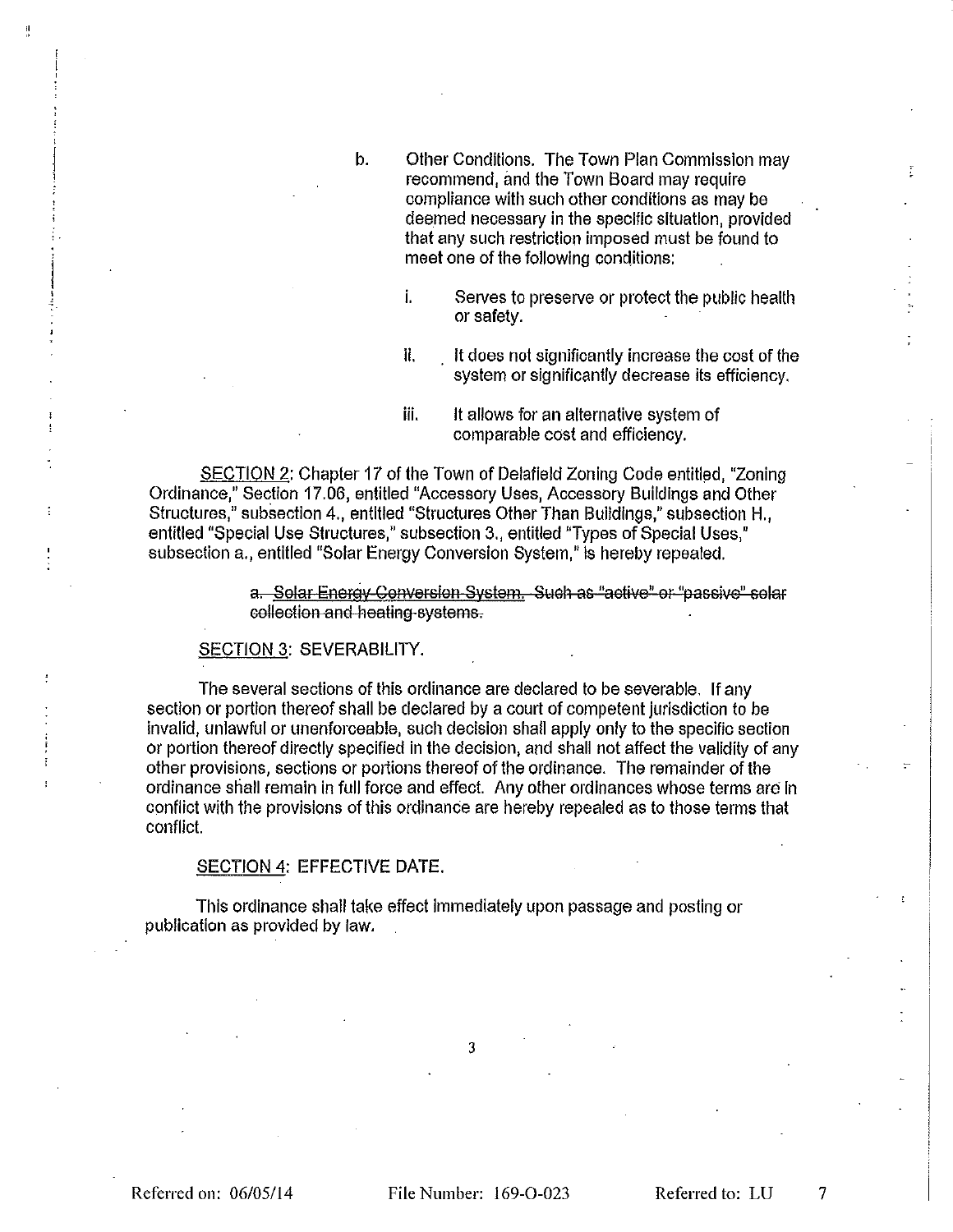- $b.$ Other Conditions. The Town Plan Commission may recommend, and the Town Board may require compliance with such other conditions as may be deemed necessary in the specific situation, provided that any such restriction imposed must be found to meet one of the following conditions:
	- Î. Serves to preserve or protect the public health or safety.
	- It does not significantly increase the cost of the ÏL. system or significantly decrease its efficiency.
	- iii. It allows for an alternative system of comparable cost and efficiency.

SECTION 2: Chapter 17 of the Town of Delafield Zoning Code entitled, "Zoning Ordinance," Section 17.06, entitled "Accessory Uses, Accessory Buildings and Other Structures," subsection 4., entitled "Structures Other Than Buildings," subsection H., entitled "Special Use Structures," subsection 3., entitled "Types of Special Uses," subsection a., entitled "Solar Energy Conversion System," is hereby repealed.

> a. Solar Energy Conversion System. Such as "active" or "passive" solar collection and heating systems.

#### SECTION 3: SEVERABILITY.

The several sections of this ordinance are declared to be severable. If any section or portion thereof shall be declared by a court of competent jurisdiction to be invalid, unlawful or unenforceable, such decision shall apply only to the specific section or portion thereof directly specified in the decision, and shall not affect the validity of any other provisions, sections or portions thereof of the ordinance. The remainder of the ordinance shall remain in full force and effect. Any other ordinances whose terms are in conflict with the provisions of this ordinance are hereby repealed as to those terms that conflict.

#### SECTION 4: EFFECTIVE DATE.

This ordinance shall take effect immediately upon passage and posting or publication as provided by law.

3

 $\overline{7}$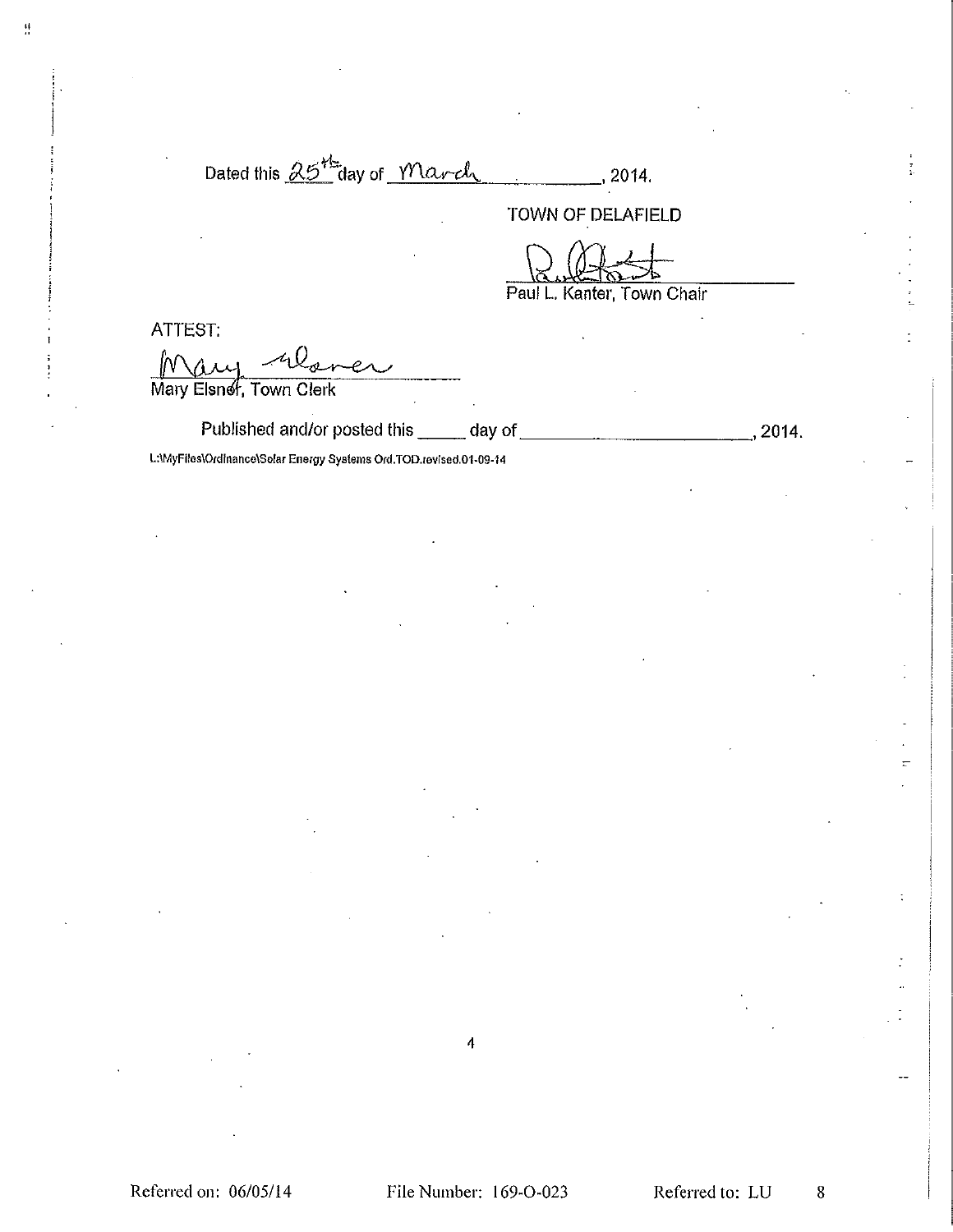| Dated this $\beta5$ aay of March |  |  |
|----------------------------------|--|--|
|                                  |  |  |

TOWN OF DELAFIELD

Paul L. Kanter, Town Chair

ATTEST:

 $\frac{1}{2}$ 

Mau Mary Elsner, Town Clerk

Published and/or posted this \_\_\_\_\_ day of  $\sim$  2014.

L:\MyFiles\Ordinance\Solar Energy Systems Ord.TOD.revised.01-09-14

4

Referred on: 06/05/14

Referred to: LU

 $\bf 8$